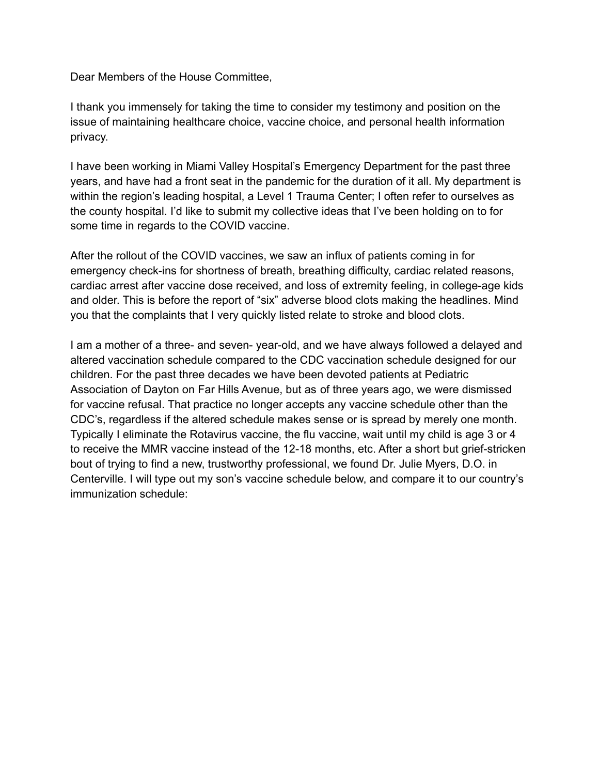Dear Members of the House Committee,

I thank you immensely for taking the time to consider my testimony and position on the issue of maintaining healthcare choice, vaccine choice, and personal health information privacy.

I have been working in Miami Valley Hospital's Emergency Department for the past three years, and have had a front seat in the pandemic for the duration of it all. My department is within the region's leading hospital, a Level 1 Trauma Center; I often refer to ourselves as the county hospital. I'd like to submit my collective ideas that I've been holding on to for some time in regards to the COVID vaccine.

After the rollout of the COVID vaccines, we saw an influx of patients coming in for emergency check-ins for shortness of breath, breathing difficulty, cardiac related reasons, cardiac arrest after vaccine dose received, and loss of extremity feeling, in college-age kids and older. This is before the report of "six" adverse blood clots making the headlines. Mind you that the complaints that I very quickly listed relate to stroke and blood clots.

I am a mother of a three- and seven- year-old, and we have always followed a delayed and altered vaccination schedule compared to the CDC vaccination schedule designed for our children. For the past three decades we have been devoted patients at Pediatric Association of Dayton on Far Hills Avenue, but as of three years ago, we were dismissed for vaccine refusal. That practice no longer accepts any vaccine schedule other than the CDC's, regardless if the altered schedule makes sense or is spread by merely one month. Typically I eliminate the Rotavirus vaccine, the flu vaccine, wait until my child is age 3 or 4 to receive the MMR vaccine instead of the 12-18 months, etc. After a short but grief-stricken bout of trying to find a new, trustworthy professional, we found Dr. Julie Myers, D.O. in Centerville. I will type out my son's vaccine schedule below, and compare it to our country's immunization schedule: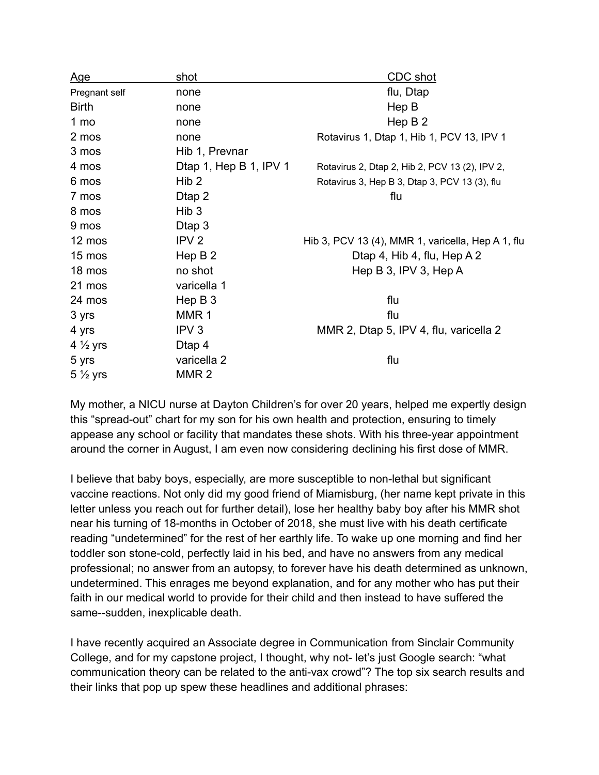| <u>Age</u>         | <u>shot</u>            | CDC shot                                          |
|--------------------|------------------------|---------------------------------------------------|
| Pregnant self      | none                   | flu, Dtap                                         |
| <b>Birth</b>       | none                   | Hep B                                             |
| 1 <sub>mo</sub>    | none                   | Hep $B2$                                          |
| 2 mos              | none                   | Rotavirus 1, Dtap 1, Hib 1, PCV 13, IPV 1         |
| 3 mos              | Hib 1, Prevnar         |                                                   |
| 4 mos              | Dtap 1, Hep B 1, IPV 1 | Rotavirus 2, Dtap 2, Hib 2, PCV 13 (2), IPV 2,    |
| 6 mos              | Hib <sub>2</sub>       | Rotavirus 3, Hep B 3, Dtap 3, PCV 13 (3), flu     |
| 7 mos              | Dtap 2                 | flu                                               |
| 8 mos              | Hib <sub>3</sub>       |                                                   |
| 9 mos              | Dtap 3                 |                                                   |
| 12 mos             | IPV <sub>2</sub>       | Hib 3, PCV 13 (4), MMR 1, varicella, Hep A 1, flu |
| 15 mos             | Hep $B2$               | Dtap 4, Hib 4, flu, Hep A 2                       |
| 18 mos             | no shot                | Hep B 3, IPV 3, Hep A                             |
| 21 mos             | varicella 1            |                                                   |
| 24 mos             | Hep $B_3$              | flu                                               |
| 3 yrs              | MMR <sub>1</sub>       | flu                                               |
| 4 yrs              | IPV <sub>3</sub>       | MMR 2, Dtap 5, IPV 4, flu, varicella 2            |
| $4\frac{1}{2}$ yrs | Dtap 4                 |                                                   |
| 5 yrs              | varicella 2            | flu                                               |
| $5\frac{1}{2}$ yrs | MMR <sub>2</sub>       |                                                   |

My mother, a NICU nurse at Dayton Children's for over 20 years, helped me expertly design this "spread-out" chart for my son for his own health and protection, ensuring to timely appease any school or facility that mandates these shots. With his three-year appointment around the corner in August, I am even now considering declining his first dose of MMR.

I believe that baby boys, especially, are more susceptible to non-lethal but significant vaccine reactions. Not only did my good friend of Miamisburg, (her name kept private in this letter unless you reach out for further detail), lose her healthy baby boy after his MMR shot near his turning of 18-months in October of 2018, she must live with his death certificate reading "undetermined" for the rest of her earthly life. To wake up one morning and find her toddler son stone-cold, perfectly laid in his bed, and have no answers from any medical professional; no answer from an autopsy, to forever have his death determined as unknown, undetermined. This enrages me beyond explanation, and for any mother who has put their faith in our medical world to provide for their child and then instead to have suffered the same--sudden, inexplicable death.

I have recently acquired an Associate degree in Communication from Sinclair Community College, and for my capstone project, I thought, why not- let's just Google search: "what communication theory can be related to the anti-vax crowd"? The top six search results and their links that pop up spew these headlines and additional phrases: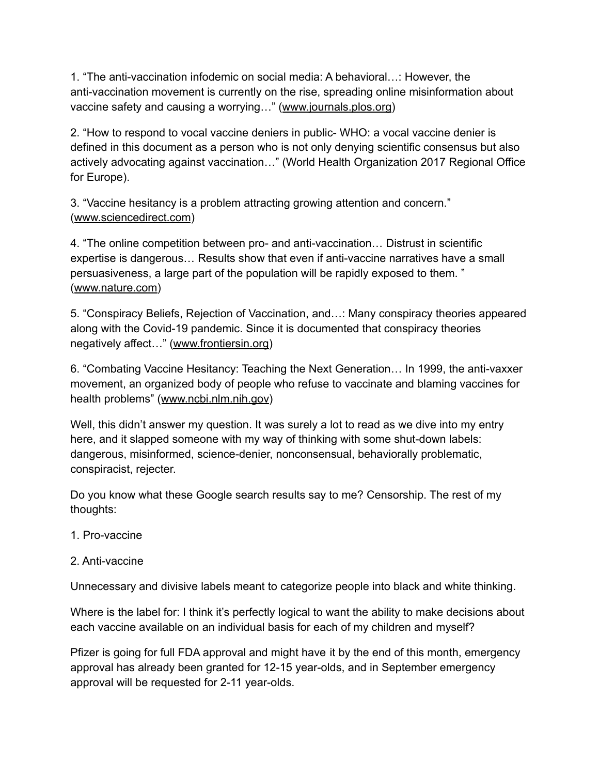1. "The anti-vaccination infodemic on social media: A behavioral…: However, the anti-vaccination movement is currently on the rise, spreading online misinformation about vaccine safety and causing a worrying…" ([www.journals.plos.org](https://href.li/?http://www.journals.plos.org))

2. "How to respond to vocal vaccine deniers in public- WHO: a vocal vaccine denier is defined in this document as a person who is not only denying scientific consensus but also actively advocating against vaccination…" (World Health Organization 2017 Regional Office for Europe).

3. "Vaccine hesitancy is a problem attracting growing attention and concern." ([www.sciencedirect.com](https://href.li/?http://www.sciencedirect.com))

4. "The online competition between pro- and anti-vaccination… Distrust in scientific expertise is dangerous… Results show that even if anti-vaccine narratives have a small persuasiveness, a large part of the population will be rapidly exposed to them. " ([www.nature.com\)](https://t.umblr.com/redirect?z=http%3A%2F%2Fwww.nature.com&t=MDljMTY4ZDE4MjczZTdjMDhiNTlhMTJhMzk1MmFjZTA0YmRiNzdmMCxNcWc1TG1pMg%3D%3D&b=t%3ApFEq0XYZGzDZb8N0XDS5zg&p=https%3A%2F%2Fdointoomuchsworld.tumblr.com%2Fpost%2F651570000539320320%2Furt-amidst-the-pharma-war&m=1&ts=1621723252)

5. "Conspiracy Beliefs, Rejection of Vaccination, and…: Many conspiracy theories appeared along with the Covid-19 pandemic. Since it is documented that conspiracy theories negatively affect…" [\(www.frontiersin.org\)](https://href.li/?http://www.frontiersin.org)

6. "Combating Vaccine Hesitancy: Teaching the Next Generation… In 1999, the anti-vaxxer movement, an organized body of people who refuse to vaccinate and blaming vaccines for health problems" ([www.ncbi.nlm.nih.gov](https://href.li/?http://www.ncbi.nlm.nih.gov))

Well, this didn't answer my question. It was surely a lot to read as we dive into my entry here, and it slapped someone with my way of thinking with some shut-down labels: dangerous, misinformed, science-denier, nonconsensual, behaviorally problematic, conspiracist, rejecter.

Do you know what these Google search results say to me? Censorship. The rest of my thoughts:

- 1. Pro-vaccine
- 2. Anti-vaccine

Unnecessary and divisive labels meant to categorize people into black and white thinking.

Where is the label for: I think it's perfectly logical to want the ability to make decisions about each vaccine available on an individual basis for each of my children and myself?

Pfizer is going for full FDA approval and might have it by the end of this month, emergency approval has already been granted for 12-15 year-olds, and in September emergency approval will be requested for 2-11 year-olds.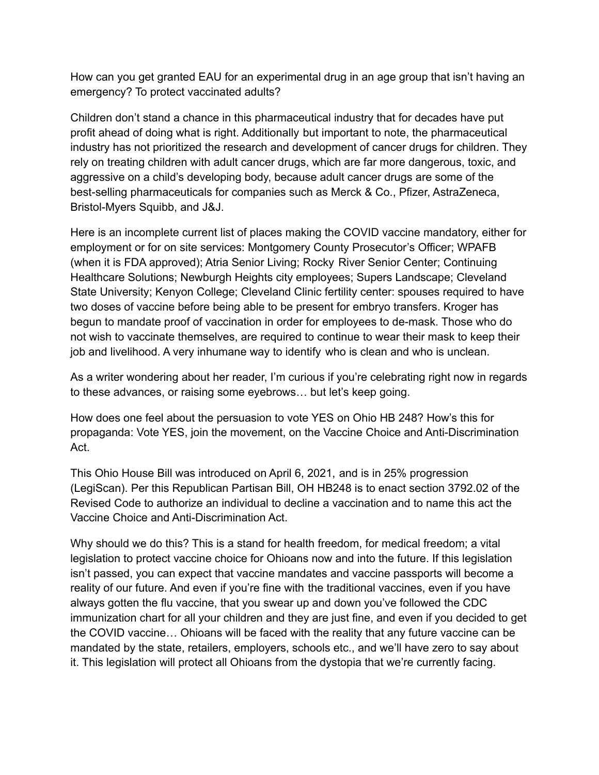How can you get granted EAU for an experimental drug in an age group that isn't having an emergency? To protect vaccinated adults?

Children don't stand a chance in this pharmaceutical industry that for decades have put profit ahead of doing what is right. Additionally but important to note, the pharmaceutical industry has not prioritized the research and development of cancer drugs for children. They rely on treating children with adult cancer drugs, which are far more dangerous, toxic, and aggressive on a child's developing body, because adult cancer drugs are some of the best-selling pharmaceuticals for companies such as Merck & Co., Pfizer, AstraZeneca, Bristol-Myers Squibb, and J&J.

Here is an incomplete current list of places making the COVID vaccine mandatory, either for employment or for on site services: Montgomery County Prosecutor's Officer; WPAFB (when it is FDA approved); Atria Senior Living; Rocky River Senior Center; Continuing Healthcare Solutions; Newburgh Heights city employees; Supers Landscape; Cleveland State University; Kenyon College; Cleveland Clinic fertility center: spouses required to have two doses of vaccine before being able to be present for embryo transfers. Kroger has begun to mandate proof of vaccination in order for employees to de-mask. Those who do not wish to vaccinate themselves, are required to continue to wear their mask to keep their job and livelihood. A very inhumane way to identify who is clean and who is unclean.

As a writer wondering about her reader, I'm curious if you're celebrating right now in regards to these advances, or raising some eyebrows… but let's keep going.

How does one feel about the persuasion to vote YES on Ohio HB 248? How's this for propaganda: Vote YES, join the movement, on the Vaccine Choice and Anti-Discrimination Act.

This Ohio House Bill was introduced on April 6, 2021, and is in 25% progression (LegiScan). Per this Republican Partisan Bill, OH HB248 is to enact section 3792.02 of the Revised Code to authorize an individual to decline a vaccination and to name this act the Vaccine Choice and Anti-Discrimination Act.

Why should we do this? This is a stand for health freedom, for medical freedom; a vital legislation to protect vaccine choice for Ohioans now and into the future. If this legislation isn't passed, you can expect that vaccine mandates and vaccine passports will become a reality of our future. And even if you're fine with the traditional vaccines, even if you have always gotten the flu vaccine, that you swear up and down you've followed the CDC immunization chart for all your children and they are just fine, and even if you decided to get the COVID vaccine… Ohioans will be faced with the reality that any future vaccine can be mandated by the state, retailers, employers, schools etc., and we'll have zero to say about it. This legislation will protect all Ohioans from the dystopia that we're currently facing.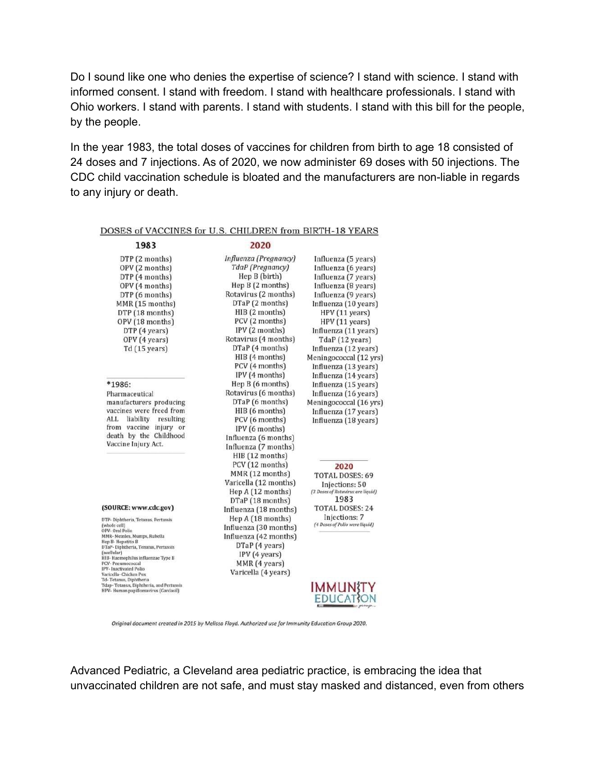Do I sound like one who denies the expertise of science? I stand with science. I stand with informed consent. I stand with freedom. I stand with healthcare professionals. I stand with Ohio workers. I stand with parents. I stand with students. I stand with this bill for the people, by the people.

In the year 1983, the total doses of vaccines for children from birth to age 18 consisted of 24 doses and 7 injections. As of 2020, we now administer 69 doses with 50 injections. The CDC child vaccination schedule is bloated and the manufacturers are non-liable in regards to any injury or death.

| Influenza (Pregnancy)<br>DTP (2 months)<br>Influenza (5 years)<br>TdaP (Pregnancy)<br>OPV (2 months)<br>Influenza (6 years)<br>Hep B (birth)<br>DTP(4 months)<br>Influenza (7 years)<br>Hep $B(2$ months)<br>OPV (4 months)<br>Influenza (8 years)<br>Rotavirus (2 months)<br>DTP (6 months)<br>Influenza (9 years)<br>DTaP (2 months)<br>MMR (15 months)<br>Influenza (10 years)<br>$HIB$ (2 months)<br>DTP (18 months)<br>HPV (11 years)<br>PCV (2 months)<br>OPV (18 months)<br>HPV (11 years)<br>IPV(2 months)<br>DTP (4 years)<br>Influenza (11 years)<br>Rotavirus (4 months)<br>OPV (4 years)<br>TdaP (12 years)<br>DTaP (4 months)<br>$Td(15 \text{ years})$<br>Influenza (12 years)<br>HIB (4 months)<br>Meningococcal (12 yrs)<br>PCV (4 months)<br>Influenza (13 years)<br>IPV (4 months)<br>Influenza (14 years)<br>Hep B (6 months)<br>$*1986:$<br>Influenza (15 years)<br>Rotavirus (6 months)<br>Influenza (16 years)<br>Pharmaceutical<br>DTaP (6 months)<br>Meningococcal (16 yrs)<br>manufacturers producing<br>vaccines were freed from<br>HIB (6 months)<br>Influenza (17 years)<br>ALL.<br>liability<br>resulting<br>PCV (6 months)<br>Influenza (18 years)<br>from vaccine injury or<br>IPV (6 months)<br>death by the Childhood<br>Influenza (6 months)<br>Vaccine Injury Act.<br>Influenza (7 months)<br>HIB (12 months)<br>PCV (12 months)<br>2020<br>MMR (12 months)<br>TOTAL DOSES: 69<br>Varicella (12 months)<br>Injections: 50<br>Hep A (12 months)<br>(3 Doses of Rotavirus are liquid)<br>1983<br>DTaP (18 months)<br>(SOURCE: www.cdc.gov)<br><b>TOTAL DOSES: 24</b><br>Influenza (18 months)<br>Injections: 7<br>Hep $A(18$ months)<br>DTP- Diphtheria, Tetanus, Pertussis<br>(4 Doses of Polio were liquid)<br>(whole cell)<br>Influenza (30 months)<br>Influenza (42 months)<br>MMR- Measles, Mumps, Rubella<br>DTaP (4 years)<br>(acellular)<br>IPV (4 years)<br>MMR (4 years)<br>PCV-Pneumococcal<br>Varicella (4 years)<br>Td-Tetanus, Diphtheria | 1983                                                                            | 2020 |          |
|------------------------------------------------------------------------------------------------------------------------------------------------------------------------------------------------------------------------------------------------------------------------------------------------------------------------------------------------------------------------------------------------------------------------------------------------------------------------------------------------------------------------------------------------------------------------------------------------------------------------------------------------------------------------------------------------------------------------------------------------------------------------------------------------------------------------------------------------------------------------------------------------------------------------------------------------------------------------------------------------------------------------------------------------------------------------------------------------------------------------------------------------------------------------------------------------------------------------------------------------------------------------------------------------------------------------------------------------------------------------------------------------------------------------------------------------------------------------------------------------------------------------------------------------------------------------------------------------------------------------------------------------------------------------------------------------------------------------------------------------------------------------------------------------------------------------------------------------------------------------------------------------------------------------------------------------------------------------------------------|---------------------------------------------------------------------------------|------|----------|
|                                                                                                                                                                                                                                                                                                                                                                                                                                                                                                                                                                                                                                                                                                                                                                                                                                                                                                                                                                                                                                                                                                                                                                                                                                                                                                                                                                                                                                                                                                                                                                                                                                                                                                                                                                                                                                                                                                                                                                                          |                                                                                 |      |          |
|                                                                                                                                                                                                                                                                                                                                                                                                                                                                                                                                                                                                                                                                                                                                                                                                                                                                                                                                                                                                                                                                                                                                                                                                                                                                                                                                                                                                                                                                                                                                                                                                                                                                                                                                                                                                                                                                                                                                                                                          |                                                                                 |      |          |
|                                                                                                                                                                                                                                                                                                                                                                                                                                                                                                                                                                                                                                                                                                                                                                                                                                                                                                                                                                                                                                                                                                                                                                                                                                                                                                                                                                                                                                                                                                                                                                                                                                                                                                                                                                                                                                                                                                                                                                                          |                                                                                 |      |          |
|                                                                                                                                                                                                                                                                                                                                                                                                                                                                                                                                                                                                                                                                                                                                                                                                                                                                                                                                                                                                                                                                                                                                                                                                                                                                                                                                                                                                                                                                                                                                                                                                                                                                                                                                                                                                                                                                                                                                                                                          |                                                                                 |      |          |
|                                                                                                                                                                                                                                                                                                                                                                                                                                                                                                                                                                                                                                                                                                                                                                                                                                                                                                                                                                                                                                                                                                                                                                                                                                                                                                                                                                                                                                                                                                                                                                                                                                                                                                                                                                                                                                                                                                                                                                                          |                                                                                 |      |          |
|                                                                                                                                                                                                                                                                                                                                                                                                                                                                                                                                                                                                                                                                                                                                                                                                                                                                                                                                                                                                                                                                                                                                                                                                                                                                                                                                                                                                                                                                                                                                                                                                                                                                                                                                                                                                                                                                                                                                                                                          |                                                                                 |      |          |
|                                                                                                                                                                                                                                                                                                                                                                                                                                                                                                                                                                                                                                                                                                                                                                                                                                                                                                                                                                                                                                                                                                                                                                                                                                                                                                                                                                                                                                                                                                                                                                                                                                                                                                                                                                                                                                                                                                                                                                                          |                                                                                 |      |          |
|                                                                                                                                                                                                                                                                                                                                                                                                                                                                                                                                                                                                                                                                                                                                                                                                                                                                                                                                                                                                                                                                                                                                                                                                                                                                                                                                                                                                                                                                                                                                                                                                                                                                                                                                                                                                                                                                                                                                                                                          |                                                                                 |      |          |
|                                                                                                                                                                                                                                                                                                                                                                                                                                                                                                                                                                                                                                                                                                                                                                                                                                                                                                                                                                                                                                                                                                                                                                                                                                                                                                                                                                                                                                                                                                                                                                                                                                                                                                                                                                                                                                                                                                                                                                                          |                                                                                 |      |          |
|                                                                                                                                                                                                                                                                                                                                                                                                                                                                                                                                                                                                                                                                                                                                                                                                                                                                                                                                                                                                                                                                                                                                                                                                                                                                                                                                                                                                                                                                                                                                                                                                                                                                                                                                                                                                                                                                                                                                                                                          |                                                                                 |      |          |
|                                                                                                                                                                                                                                                                                                                                                                                                                                                                                                                                                                                                                                                                                                                                                                                                                                                                                                                                                                                                                                                                                                                                                                                                                                                                                                                                                                                                                                                                                                                                                                                                                                                                                                                                                                                                                                                                                                                                                                                          |                                                                                 |      |          |
|                                                                                                                                                                                                                                                                                                                                                                                                                                                                                                                                                                                                                                                                                                                                                                                                                                                                                                                                                                                                                                                                                                                                                                                                                                                                                                                                                                                                                                                                                                                                                                                                                                                                                                                                                                                                                                                                                                                                                                                          |                                                                                 |      |          |
|                                                                                                                                                                                                                                                                                                                                                                                                                                                                                                                                                                                                                                                                                                                                                                                                                                                                                                                                                                                                                                                                                                                                                                                                                                                                                                                                                                                                                                                                                                                                                                                                                                                                                                                                                                                                                                                                                                                                                                                          |                                                                                 |      |          |
|                                                                                                                                                                                                                                                                                                                                                                                                                                                                                                                                                                                                                                                                                                                                                                                                                                                                                                                                                                                                                                                                                                                                                                                                                                                                                                                                                                                                                                                                                                                                                                                                                                                                                                                                                                                                                                                                                                                                                                                          |                                                                                 |      |          |
|                                                                                                                                                                                                                                                                                                                                                                                                                                                                                                                                                                                                                                                                                                                                                                                                                                                                                                                                                                                                                                                                                                                                                                                                                                                                                                                                                                                                                                                                                                                                                                                                                                                                                                                                                                                                                                                                                                                                                                                          |                                                                                 |      |          |
|                                                                                                                                                                                                                                                                                                                                                                                                                                                                                                                                                                                                                                                                                                                                                                                                                                                                                                                                                                                                                                                                                                                                                                                                                                                                                                                                                                                                                                                                                                                                                                                                                                                                                                                                                                                                                                                                                                                                                                                          |                                                                                 |      |          |
|                                                                                                                                                                                                                                                                                                                                                                                                                                                                                                                                                                                                                                                                                                                                                                                                                                                                                                                                                                                                                                                                                                                                                                                                                                                                                                                                                                                                                                                                                                                                                                                                                                                                                                                                                                                                                                                                                                                                                                                          |                                                                                 |      |          |
|                                                                                                                                                                                                                                                                                                                                                                                                                                                                                                                                                                                                                                                                                                                                                                                                                                                                                                                                                                                                                                                                                                                                                                                                                                                                                                                                                                                                                                                                                                                                                                                                                                                                                                                                                                                                                                                                                                                                                                                          |                                                                                 |      |          |
|                                                                                                                                                                                                                                                                                                                                                                                                                                                                                                                                                                                                                                                                                                                                                                                                                                                                                                                                                                                                                                                                                                                                                                                                                                                                                                                                                                                                                                                                                                                                                                                                                                                                                                                                                                                                                                                                                                                                                                                          |                                                                                 |      |          |
|                                                                                                                                                                                                                                                                                                                                                                                                                                                                                                                                                                                                                                                                                                                                                                                                                                                                                                                                                                                                                                                                                                                                                                                                                                                                                                                                                                                                                                                                                                                                                                                                                                                                                                                                                                                                                                                                                                                                                                                          |                                                                                 |      |          |
|                                                                                                                                                                                                                                                                                                                                                                                                                                                                                                                                                                                                                                                                                                                                                                                                                                                                                                                                                                                                                                                                                                                                                                                                                                                                                                                                                                                                                                                                                                                                                                                                                                                                                                                                                                                                                                                                                                                                                                                          |                                                                                 |      |          |
|                                                                                                                                                                                                                                                                                                                                                                                                                                                                                                                                                                                                                                                                                                                                                                                                                                                                                                                                                                                                                                                                                                                                                                                                                                                                                                                                                                                                                                                                                                                                                                                                                                                                                                                                                                                                                                                                                                                                                                                          |                                                                                 |      |          |
|                                                                                                                                                                                                                                                                                                                                                                                                                                                                                                                                                                                                                                                                                                                                                                                                                                                                                                                                                                                                                                                                                                                                                                                                                                                                                                                                                                                                                                                                                                                                                                                                                                                                                                                                                                                                                                                                                                                                                                                          |                                                                                 |      |          |
|                                                                                                                                                                                                                                                                                                                                                                                                                                                                                                                                                                                                                                                                                                                                                                                                                                                                                                                                                                                                                                                                                                                                                                                                                                                                                                                                                                                                                                                                                                                                                                                                                                                                                                                                                                                                                                                                                                                                                                                          |                                                                                 |      |          |
|                                                                                                                                                                                                                                                                                                                                                                                                                                                                                                                                                                                                                                                                                                                                                                                                                                                                                                                                                                                                                                                                                                                                                                                                                                                                                                                                                                                                                                                                                                                                                                                                                                                                                                                                                                                                                                                                                                                                                                                          |                                                                                 |      |          |
|                                                                                                                                                                                                                                                                                                                                                                                                                                                                                                                                                                                                                                                                                                                                                                                                                                                                                                                                                                                                                                                                                                                                                                                                                                                                                                                                                                                                                                                                                                                                                                                                                                                                                                                                                                                                                                                                                                                                                                                          |                                                                                 |      |          |
|                                                                                                                                                                                                                                                                                                                                                                                                                                                                                                                                                                                                                                                                                                                                                                                                                                                                                                                                                                                                                                                                                                                                                                                                                                                                                                                                                                                                                                                                                                                                                                                                                                                                                                                                                                                                                                                                                                                                                                                          |                                                                                 |      |          |
|                                                                                                                                                                                                                                                                                                                                                                                                                                                                                                                                                                                                                                                                                                                                                                                                                                                                                                                                                                                                                                                                                                                                                                                                                                                                                                                                                                                                                                                                                                                                                                                                                                                                                                                                                                                                                                                                                                                                                                                          |                                                                                 |      |          |
|                                                                                                                                                                                                                                                                                                                                                                                                                                                                                                                                                                                                                                                                                                                                                                                                                                                                                                                                                                                                                                                                                                                                                                                                                                                                                                                                                                                                                                                                                                                                                                                                                                                                                                                                                                                                                                                                                                                                                                                          |                                                                                 |      |          |
|                                                                                                                                                                                                                                                                                                                                                                                                                                                                                                                                                                                                                                                                                                                                                                                                                                                                                                                                                                                                                                                                                                                                                                                                                                                                                                                                                                                                                                                                                                                                                                                                                                                                                                                                                                                                                                                                                                                                                                                          |                                                                                 |      |          |
|                                                                                                                                                                                                                                                                                                                                                                                                                                                                                                                                                                                                                                                                                                                                                                                                                                                                                                                                                                                                                                                                                                                                                                                                                                                                                                                                                                                                                                                                                                                                                                                                                                                                                                                                                                                                                                                                                                                                                                                          |                                                                                 |      |          |
|                                                                                                                                                                                                                                                                                                                                                                                                                                                                                                                                                                                                                                                                                                                                                                                                                                                                                                                                                                                                                                                                                                                                                                                                                                                                                                                                                                                                                                                                                                                                                                                                                                                                                                                                                                                                                                                                                                                                                                                          | OPV-Oral Polio                                                                  |      |          |
|                                                                                                                                                                                                                                                                                                                                                                                                                                                                                                                                                                                                                                                                                                                                                                                                                                                                                                                                                                                                                                                                                                                                                                                                                                                                                                                                                                                                                                                                                                                                                                                                                                                                                                                                                                                                                                                                                                                                                                                          | Hep B-Hepatitis B                                                               |      |          |
|                                                                                                                                                                                                                                                                                                                                                                                                                                                                                                                                                                                                                                                                                                                                                                                                                                                                                                                                                                                                                                                                                                                                                                                                                                                                                                                                                                                                                                                                                                                                                                                                                                                                                                                                                                                                                                                                                                                                                                                          | DTaP- Diphtheria, Tenatus, Pertussis                                            |      |          |
|                                                                                                                                                                                                                                                                                                                                                                                                                                                                                                                                                                                                                                                                                                                                                                                                                                                                                                                                                                                                                                                                                                                                                                                                                                                                                                                                                                                                                                                                                                                                                                                                                                                                                                                                                                                                                                                                                                                                                                                          | HIB-Haemophilus influenzae Type B                                               |      |          |
|                                                                                                                                                                                                                                                                                                                                                                                                                                                                                                                                                                                                                                                                                                                                                                                                                                                                                                                                                                                                                                                                                                                                                                                                                                                                                                                                                                                                                                                                                                                                                                                                                                                                                                                                                                                                                                                                                                                                                                                          | <b>IPV-</b> Inactivated Polio                                                   |      |          |
|                                                                                                                                                                                                                                                                                                                                                                                                                                                                                                                                                                                                                                                                                                                                                                                                                                                                                                                                                                                                                                                                                                                                                                                                                                                                                                                                                                                                                                                                                                                                                                                                                                                                                                                                                                                                                                                                                                                                                                                          | Varicella- Chicken Pox                                                          |      |          |
|                                                                                                                                                                                                                                                                                                                                                                                                                                                                                                                                                                                                                                                                                                                                                                                                                                                                                                                                                                                                                                                                                                                                                                                                                                                                                                                                                                                                                                                                                                                                                                                                                                                                                                                                                                                                                                                                                                                                                                                          | Tdap-Tetanus, Diphtheria, and Pertussis<br>HPV- Human papillomavirus (Gardasil) |      | IMMUN{T` |

DOSES of VACCINES for U.S. CHILDREN from BIRTH-18 YEARS

Original document created in 2015 by Melissa Floyd. Authorized use for Immunity Education Group 2020.

Advanced Pediatric, a Cleveland area pediatric practice, is embracing the idea that unvaccinated children are not safe, and must stay masked and distanced, even from others

**EDUCATION**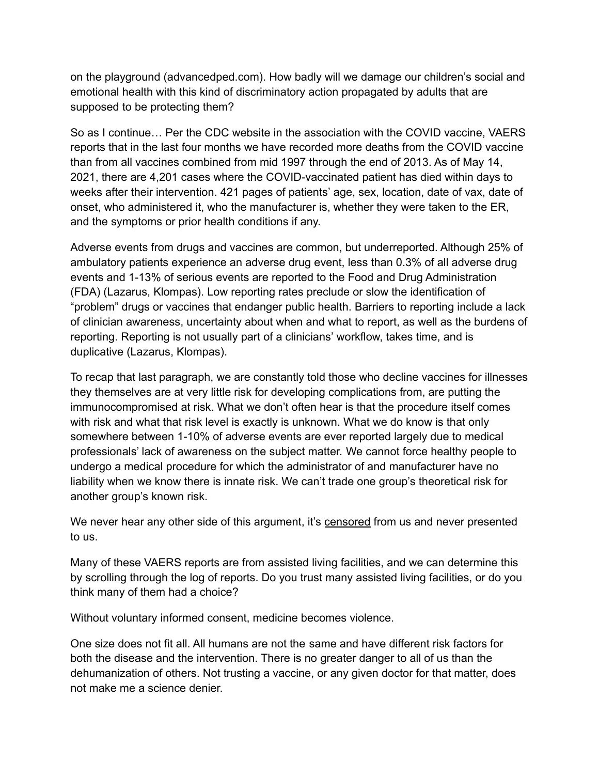on the playground (advancedped.com). How badly will we damage our children's social and emotional health with this kind of discriminatory action propagated by adults that are supposed to be protecting them?

So as I continue… Per the CDC website in the association with the COVID vaccine, VAERS reports that in the last four months we have recorded more deaths from the COVID vaccine than from all vaccines combined from mid 1997 through the end of 2013. As of May 14, 2021, there are 4,201 cases where the COVID-vaccinated patient has died within days to weeks after their intervention. 421 pages of patients' age, sex, location, date of vax, date of onset, who administered it, who the manufacturer is, whether they were taken to the ER, and the symptoms or prior health conditions if any.

Adverse events from drugs and vaccines are common, but underreported. Although 25% of ambulatory patients experience an adverse drug event, less than 0.3% of all adverse drug events and 1-13% of serious events are reported to the Food and Drug Administration (FDA) (Lazarus, Klompas). Low reporting rates preclude or slow the identification of "problem" drugs or vaccines that endanger public health. Barriers to reporting include a lack of clinician awareness, uncertainty about when and what to report, as well as the burdens of reporting. Reporting is not usually part of a clinicians' workflow, takes time, and is duplicative (Lazarus, Klompas).

To recap that last paragraph, we are constantly told those who decline vaccines for illnesses they themselves are at very little risk for developing complications from, are putting the immunocompromised at risk. What we don't often hear is that the procedure itself comes with risk and what that risk level is exactly is unknown. What we do know is that only somewhere between 1-10% of adverse events are ever reported largely due to medical professionals' lack of awareness on the subject matter. We cannot force healthy people to undergo a medical procedure for which the administrator of and manufacturer have no liability when we know there is innate risk. We can't trade one group's theoretical risk for another group's known risk.

We never hear any other side of this argument, it's censored from us and never presented to us.

Many of these VAERS reports are from assisted living facilities, and we can determine this by scrolling through the log of reports. Do you trust many assisted living facilities, or do you think many of them had a choice?

Without voluntary informed consent, medicine becomes violence.

One size does not fit all. All humans are not the same and have different risk factors for both the disease and the intervention. There is no greater danger to all of us than the dehumanization of others. Not trusting a vaccine, or any given doctor for that matter, does not make me a science denier.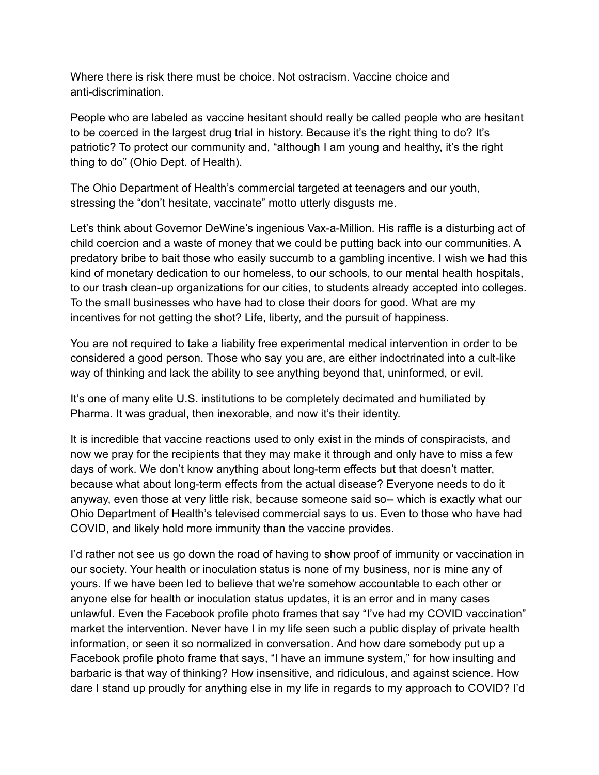Where there is risk there must be choice. Not ostracism. Vaccine choice and anti-discrimination.

People who are labeled as vaccine hesitant should really be called people who are hesitant to be coerced in the largest drug trial in history. Because it's the right thing to do? It's patriotic? To protect our community and, "although I am young and healthy, it's the right thing to do" (Ohio Dept. of Health).

The Ohio Department of Health's commercial targeted at teenagers and our youth, stressing the "don't hesitate, vaccinate" motto utterly disgusts me.

Let's think about Governor DeWine's ingenious Vax-a-Million. His raffle is a disturbing act of child coercion and a waste of money that we could be putting back into our communities. A predatory bribe to bait those who easily succumb to a gambling incentive. I wish we had this kind of monetary dedication to our homeless, to our schools, to our mental health hospitals, to our trash clean-up organizations for our cities, to students already accepted into colleges. To the small businesses who have had to close their doors for good. What are my incentives for not getting the shot? Life, liberty, and the pursuit of happiness.

You are not required to take a liability free experimental medical intervention in order to be considered a good person. Those who say you are, are either indoctrinated into a cult-like way of thinking and lack the ability to see anything beyond that, uninformed, or evil.

It's one of many elite U.S. institutions to be completely decimated and humiliated by Pharma. It was gradual, then inexorable, and now it's their identity.

It is incredible that vaccine reactions used to only exist in the minds of conspiracists, and now we pray for the recipients that they may make it through and only have to miss a few days of work. We don't know anything about long-term effects but that doesn't matter, because what about long-term effects from the actual disease? Everyone needs to do it anyway, even those at very little risk, because someone said so-- which is exactly what our Ohio Department of Health's televised commercial says to us. Even to those who have had COVID, and likely hold more immunity than the vaccine provides.

I'd rather not see us go down the road of having to show proof of immunity or vaccination in our society. Your health or inoculation status is none of my business, nor is mine any of yours. If we have been led to believe that we're somehow accountable to each other or anyone else for health or inoculation status updates, it is an error and in many cases unlawful. Even the Facebook profile photo frames that say "I've had my COVID vaccination" market the intervention. Never have I in my life seen such a public display of private health information, or seen it so normalized in conversation. And how dare somebody put up a Facebook profile photo frame that says, "I have an immune system," for how insulting and barbaric is that way of thinking? How insensitive, and ridiculous, and against science. How dare I stand up proudly for anything else in my life in regards to my approach to COVID? I'd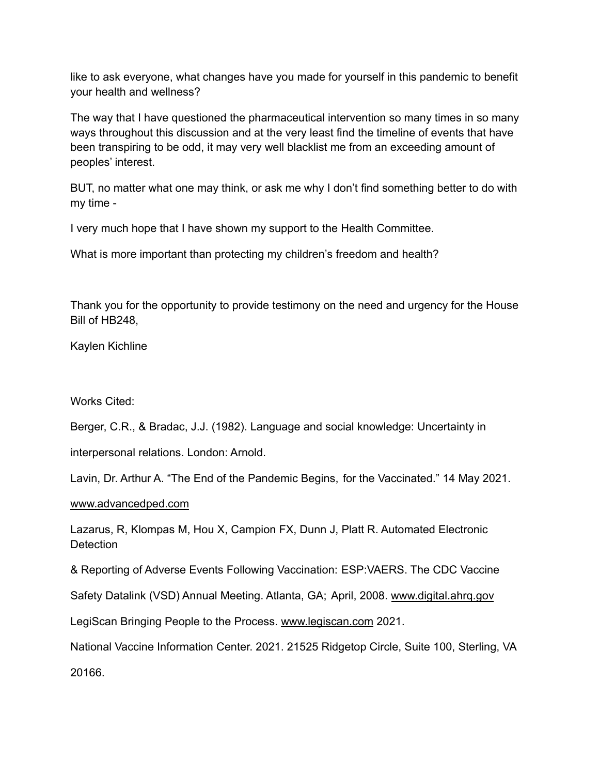like to ask everyone, what changes have you made for yourself in this pandemic to benefit your health and wellness?

The way that I have questioned the pharmaceutical intervention so many times in so many ways throughout this discussion and at the very least find the timeline of events that have been transpiring to be odd, it may very well blacklist me from an exceeding amount of peoples' interest.

BUT, no matter what one may think, or ask me why I don't find something better to do with my time -

I very much hope that I have shown my support to the Health Committee.

What is more important than protecting my children's freedom and health?

Thank you for the opportunity to provide testimony on the need and urgency for the House Bill of HB248,

Kaylen Kichline

Works Cited:

Berger, C.R., & Bradac, J.J. (1982). Language and social knowledge: Uncertainty in

interpersonal relations. London: Arnold.

Lavin, Dr. Arthur A. "The End of the Pandemic Begins, for the Vaccinated." 14 May 2021.

[www.advancedped.com](https://href.li/?http://www.advancedped.com)

Lazarus, R, Klompas M, Hou X, Campion FX, Dunn J, Platt R. Automated Electronic **Detection** 

& Reporting of Adverse Events Following Vaccination: ESP:VAERS. The CDC Vaccine

Safety Datalink (VSD) Annual Meeting. Atlanta, GA; April, 2008. [www.digital.ahrq.gov](https://href.li/?http://www.digital.ahrq.gov)

LegiScan Bringing People to the Process. [www.legiscan.com](https://href.li/?http://www.legiscan.com) 2021.

National Vaccine Information Center. 2021. 21525 Ridgetop Circle, Suite 100, Sterling, VA

20166.